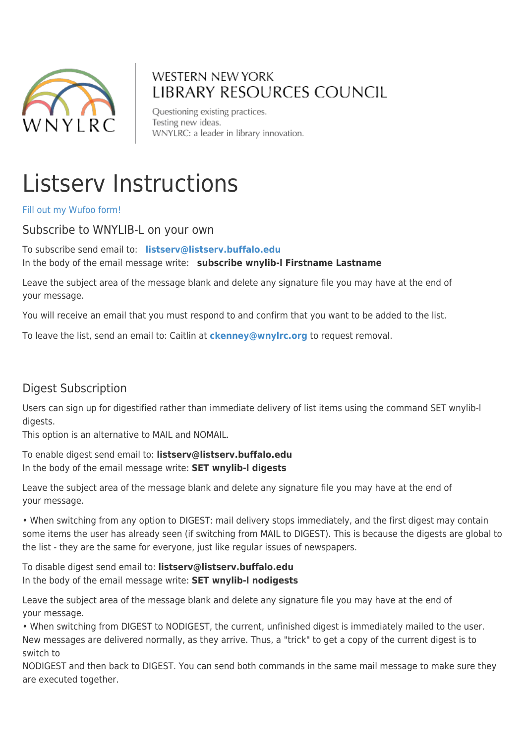

# **WESTERN NEW YORK** LIBRARY RESOURCES COUNCIL

Questioning existing practices. Testing new ideas. WNYLRC: a leader in library innovation.

# Listserv Instructions

[Fill out my Wufoo form!](https://wnylrc.wufoo.com/forms/s1v1kxdt1we5du7/)

#### Subscribe to WNYLIB-L on your own

To subscribe send email to: **[listserv@listserv.buffalo.edu](mailto:listserv@listserv.buffalo.edu)** In the body of the email message write: **subscribe wnylib-l Firstname Lastname**

Leave the subject area of the message blank and delete any signature file you may have at the end of your message.

You will receive an email that you must respond to and confirm that you want to be added to the list.

To leave the list, send an email to: Caitlin at **[ckenney@wnylrc.org](mailto:ckenney@wnylrc.org)** to request removal.

### Digest Subscription

Users can sign up for digestified rather than immediate delivery of list items using the command SET wnylib-l digests.

This option is an alternative to MAIL and NOMAIL.

To enable digest send email to: **listserv@listserv.buffalo.edu**  In the body of the email message write: **SET wnylib-l digests**

Leave the subject area of the message blank and delete any signature file you may have at the end of your message.

• When switching from any option to DIGEST: mail delivery stops immediately, and the first digest may contain some items the user has already seen (if switching from MAIL to DIGEST). This is because the digests are global to the list - they are the same for everyone, just like regular issues of newspapers.

To disable digest send email to: **listserv@listserv.buffalo.edu**  In the body of the email message write: **SET wnylib-l nodigests**

Leave the subject area of the message blank and delete any signature file you may have at the end of your message.

• When switching from DIGEST to NODIGEST, the current, unfinished digest is immediately mailed to the user. New messages are delivered normally, as they arrive. Thus, a "trick" to get a copy of the current digest is to switch to

NODIGEST and then back to DIGEST. You can send both commands in the same mail message to make sure they are executed together.